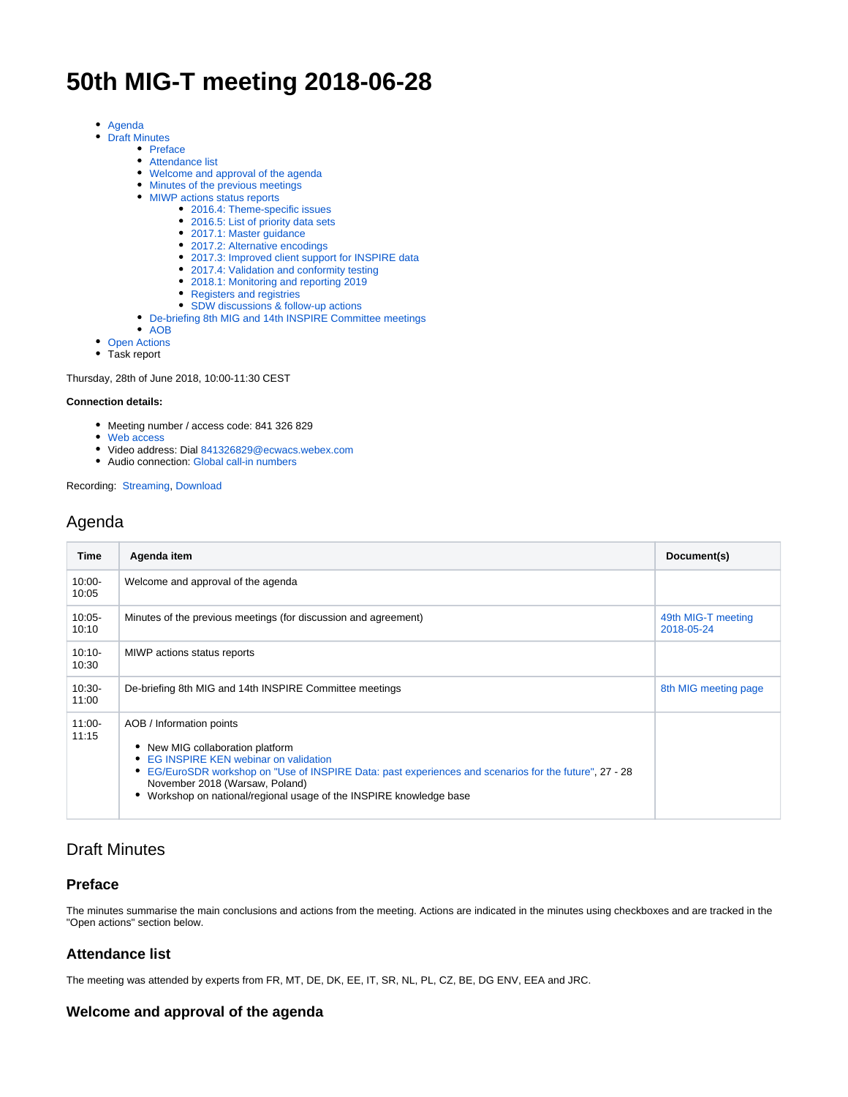# **50th MIG-T meeting 2018-06-28**

- [Agenda](#page-0-0)
- [Draft Minutes](#page-0-1)
	- [Preface](#page-0-2)
	- [Attendance list](#page-0-3)
	- [Welcome and approval of the agenda](#page-0-4)
	- [Minutes of the previous meetings](#page-1-0)
	- [MIWP actions status reports](#page-1-1)
		- [2016.4: Theme-specific issues](#page-1-2)
		- [2016.5: List of priority data sets](#page-1-3)
		- [2017.1: Master guidance](#page-1-4)
		- [2017.2: Alternative encodings](#page-1-5)
		- [2017.3: Improved client support for INSPIRE data](#page-1-6)
		- [2017.4: Validation and conformity testing](#page-1-7)
		- [2018.1: Monitoring and reporting 2019](#page-1-8)
		- [Registers and registries](#page-1-9)
		- [SDW discussions & follow-up actions](#page-1-10)
	- [De-briefing 8th MIG and 14th INSPIRE Committee meetings](#page-1-11)
	- [AOB](#page-2-0)
- [Open Actions](#page-2-1)

• Task report

Thursday, 28th of June 2018, 10:00-11:30 CEST

#### **Connection details:**

- Meeting number / access code: 841 326 829
- [Web access](https://ecwacs.webex.com/ecwacs/j.php?MTID=m954f58ad2c39774e52d0b0f8a6f3a87e)
- Video address: Dial [841326829@ecwacs.webex.com](mailto:841326829@ecwacs.webex.com)
- Audio connection: [Global call-in numbers](https://ecwacs.webex.com/cmp3100/webcomponents/widget/globalcallin/globalcallin.do?siteurl=ecwacs&serviceType=MC&eventID=606328357&tollFree=0)

Recording: [Streaming,](https://ecwacs.webex.com/ecwacs/ldr.php?RCID=cb680b068b2cb2b29f7393f1afa9b9bc) [Download](https://ecwacs.webex.com/ecwacs/lsr.php?RCID=ae6c72d8379e33fb7e32e95a45b661af)

# <span id="page-0-0"></span>Agenda

| Time               | Agenda item                                                                                                                                                                                                                                                                                                           | Document(s)                      |
|--------------------|-----------------------------------------------------------------------------------------------------------------------------------------------------------------------------------------------------------------------------------------------------------------------------------------------------------------------|----------------------------------|
| $10:00 -$<br>10:05 | Welcome and approval of the agenda                                                                                                                                                                                                                                                                                    |                                  |
| $10:05 -$<br>10:10 | Minutes of the previous meetings (for discussion and agreement)                                                                                                                                                                                                                                                       | 49th MIG-T meeting<br>2018-05-24 |
| $10:10-$<br>10:30  | MIWP actions status reports                                                                                                                                                                                                                                                                                           |                                  |
| $10:30-$<br>11:00  | De-briefing 8th MIG and 14th INSPIRE Committee meetings                                                                                                                                                                                                                                                               | 8th MIG meeting page             |
| $11:00-$<br>11:15  | AOB / Information points<br>• New MIG collaboration platform<br>• EG INSPIRE KEN webinar on validation<br>EG/EuroSDR workshop on "Use of INSPIRE Data: past experiences and scenarios for the future", 27 - 28<br>November 2018 (Warsaw, Poland)<br>Workshop on national/regional usage of the INSPIRE knowledge base |                                  |

# <span id="page-0-1"></span>Draft Minutes

# <span id="page-0-2"></span>**Preface**

The minutes summarise the main conclusions and actions from the meeting. Actions are indicated in the minutes using checkboxes and are tracked in the "Open actions" section below.

# <span id="page-0-3"></span>**Attendance list**

The meeting was attended by experts from FR, MT, DE, DK, EE, IT, SR, NL, PL, CZ, BE, DG ENV, EEA and JRC.

# <span id="page-0-4"></span>**Welcome and approval of the agenda**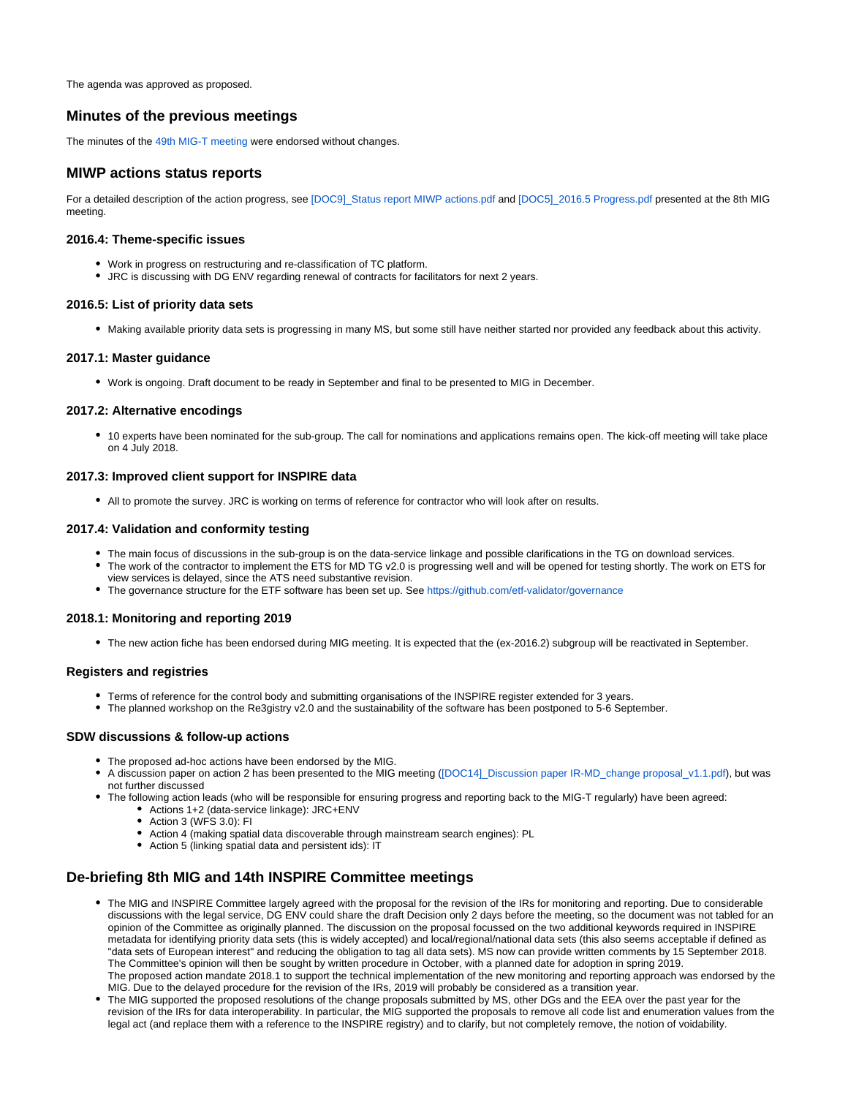The agenda was approved as proposed.

### <span id="page-1-0"></span>**Minutes of the previous meetings**

The minutes of the [49th MIG-T meeting](https://webgate.ec.europa.eu/fpfis/wikis/display/InspireMIG/49th+MIG-T+meeting+2018-05-24) were endorsed without changes.

### <span id="page-1-1"></span>**MIWP actions status reports**

For a detailed description of the action progress, see [DOC9] Status report MIWP actions.pdf and [DOC5] 2016.5 Progress.pdf presented at the 8th MIG meeting.

#### <span id="page-1-2"></span>**2016.4: Theme-specific issues**

- Work in progress on restructuring and re-classification of TC platform.
- JRC is discussing with DG ENV regarding renewal of contracts for facilitators for next 2 years.

#### <span id="page-1-3"></span>**2016.5: List of priority data sets**

Making available priority data sets is progressing in many MS, but some still have neither started nor provided any feedback about this activity.

#### <span id="page-1-4"></span>**2017.1: Master guidance**

Work is ongoing. Draft document to be ready in September and final to be presented to MIG in December.

#### <span id="page-1-5"></span>**2017.2: Alternative encodings**

10 experts have been nominated for the sub-group. The call for nominations and applications remains open. The kick-off meeting will take place on 4 July 2018.

#### <span id="page-1-6"></span>**2017.3: Improved client support for INSPIRE data**

All to promote the survey. JRC is working on terms of reference for contractor who will look after on results.

#### <span id="page-1-7"></span>**2017.4: Validation and conformity testing**

- The main focus of discussions in the sub-group is on the data-service linkage and possible clarifications in the TG on download services.
- The work of the contractor to implement the ETS for MD TG v2.0 is progressing well and will be opened for testing shortly. The work on ETS for view services is delayed, since the ATS need substantive revision.
- The governance structure for the ETF software has been set up. See <https://github.com/etf-validator/governance>

#### <span id="page-1-8"></span>**2018.1: Monitoring and reporting 2019**

The new action fiche has been endorsed during MIG meeting. It is expected that the (ex-2016.2) subgroup will be reactivated in September.

#### <span id="page-1-9"></span>**Registers and registries**

- Terms of reference for the control body and submitting organisations of the INSPIRE register extended for 3 years.
- The planned workshop on the Re3gistry v2.0 and the sustainability of the software has been postponed to 5-6 September.

#### <span id="page-1-10"></span>**SDW discussions & follow-up actions**

- The proposed ad-hoc actions have been endorsed by the MIG.
- A discussion paper on action 2 has been presented to the MIG meeting ([\[DOC14\]\\_Discussion paper IR-MD\\_change proposal\\_v1.1.pdf](https://ies-svn.jrc.ec.europa.eu/attachments/download/2516/%5BDOC14%5D_Discussion%20paper%20IR-MD_change%20proposal_v1.1.pdf)), but was not further discussed
- The following action leads (who will be responsible for ensuring progress and reporting back to the MIG-T regularly) have been agreed:
	- Actions 1+2 (data-service linkage): JRC+ENV
	- Action 3 (WFS 3.0): FI
	- Action 4 (making spatial data discoverable through mainstream search engines): PL
	- Action 5 (linking spatial data and persistent ids): IT

# <span id="page-1-11"></span>**De-briefing 8th MIG and 14th INSPIRE Committee meetings**

- The MIG and INSPIRE Committee largely agreed with the proposal for the revision of the IRs for monitoring and reporting. Due to considerable discussions with the legal service, DG ENV could share the draft Decision only 2 days before the meeting, so the document was not tabled for an opinion of the Committee as originally planned. The discussion on the proposal focussed on the two additional keywords required in INSPIRE metadata for identifying priority data sets (this is widely accepted) and local/regional/national data sets (this also seems acceptable if defined as "data sets of European interest" and reducing the obligation to tag all data sets). MS now can provide written comments by 15 September 2018. The Committee's opinion will then be sought by written procedure in October, with a planned date for adoption in spring 2019. The proposed action mandate 2018.1 to support the technical implementation of the new monitoring and reporting approach was endorsed by the MIG. Due to the delayed procedure for the revision of the IRs, 2019 will probably be considered as a transition year.
- The MIG supported the proposed resolutions of the change proposals submitted by MS, other DGs and the EEA over the past year for the revision of the IRs for data interoperability. In particular, the MIG supported the proposals to remove all code list and enumeration values from the legal act (and replace them with a reference to the INSPIRE registry) and to clarify, but not completely remove, the notion of voidability.